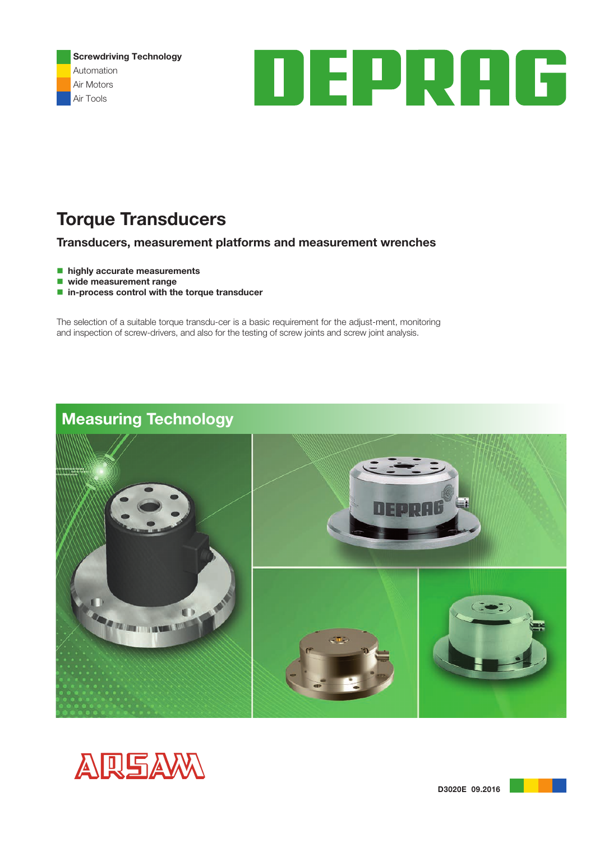Screwdriving Technology Automation Air Motors Air Tools



# Torque Transducers

## Transducers, measurement platforms and measurement wrenches

- $\blacksquare$  highly accurate measurements
- $\blacksquare$  wide measurement range
- $\blacksquare$  in-process control with the torque transducer

The selection of a suitable torque transdu-cer is a basic requirement for the adjust-ment, monitoring and inspection of screw-drivers, and also for the testing of screw joints and screw joint analysis.

# Measuring Technology





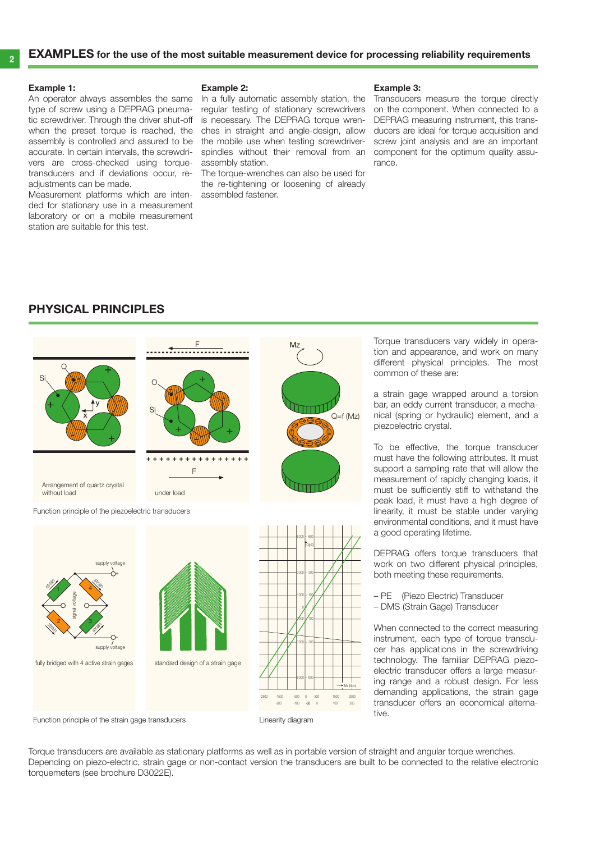#### Example 1:

An operator always assembles the same type of screw using a DEPRAG pneumatic screwdriver. Through the driver shut-off when the preset torque is reached, the assembly is controlled and assured to be accurate. In certain intervals, the screwdrivers are cross-checked using torquetransducers and if deviations occur, readiustments can be made.

Measurement platforms which are intended for stationary use in a measurement laboratory or on a mobile measurement station are suitable for this test.

#### Example 2:

In a fully automatic assembly station, the regular testing of stationary screwdrivers is necessary. The DEPRAG torque wrenches in straight and angle-design, allow the mobile use when testing screwdriverspindles without their removal from an assembly station.

The torque-wrenches can also be used for the re-tightening or loosening of already assembled fastener.

#### Example 3:

Transducers measure the torque directly on the component. When connected to a DEPRAG measuring instrument, this transducers are ideal for torque acquisition and screw joint analysis and are an important component for the optimum quality assurance.

### Physical principles





Torque transducers vary widely in operation and appearance, and work on many different physical principles. The most common of these are:

a strain gage wrapped around a torsion bar, an eddy current transducer, a mechanical (spring or hydraulic) element, and a piezoelectric crystal.

To be effective, the torque transducer must have the following attributes. It must support a sampling rate that will allow the measurement of rapidly changing loads, it must be sufficiently stiff to withstand the peak load, it must have a high degree of linearity, it must be stable under varying environmental conditions, and it must have a good operating lifetime.

DEPRAG offers torque transducers that work on two different physical principles, both meeting these requirements.

- PE (Piezo Electric) Transducer
- DMS (Strain Gage) Transducer

When connected to the correct measuring instrument, each type of torque transducer has applications in the screwdriving technology. The familiar DEPRAG piezoelectric transducer offers a large measuring range and a robust design. For less demanding applications, the strain gage transducer offers an economical alternative.

Function principle of the strain gage transducers

Torque transducers are available as stationary platforms as well as in portable version of straight and angular torque wrenches. Depending on piezo-electric, strain gage or non-contact version the transducers are built to be connected to the relative electronic torquemeters (see brochure D3022E).

Linearity diagram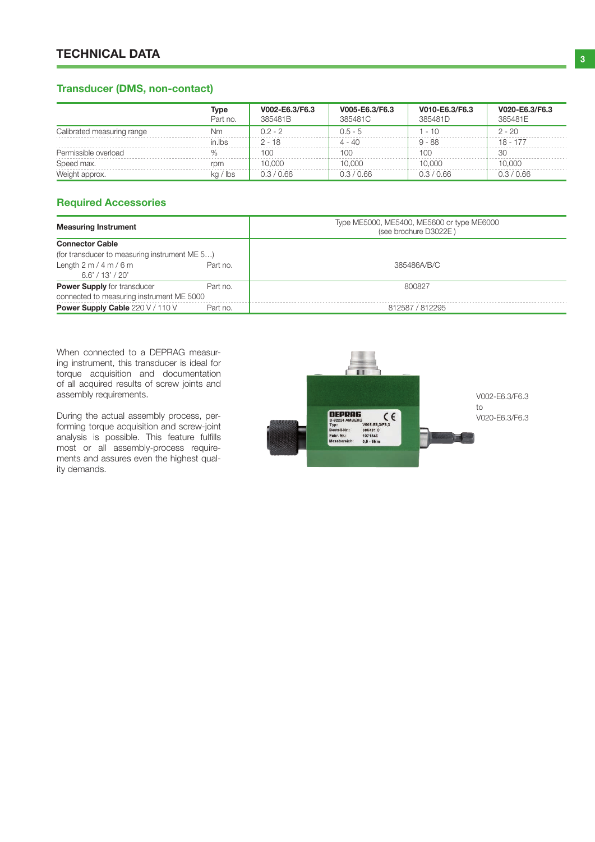# **2 3 TECHNICAL DATA**

## Transducer (DMS, non-contact)

|                            | Type<br>Part no. | V002-E6.3/F6.3<br>385481B | V005-E6.3/F6.3<br>385481C | V010-E6.3/F6.3<br>385481D | V020-E6.3/F6.3<br>385481E |
|----------------------------|------------------|---------------------------|---------------------------|---------------------------|---------------------------|
| Calibrated measuring range | Nm               | $0.2 - 2$                 | $0.5 - 5$                 | - 10                      | $2 - 20$                  |
|                            | in.lbs           | $2 - 18$                  | $4 - 40$                  | $9 - 88$                  | $18 - 177$                |
| Permissible overload       |                  | 100                       | 100                       | 100                       | 30                        |
| Speed max.                 | rom              | 10.000                    | 10.000                    | 10.000                    | 10.000                    |
| Weight approx.             | $kq$ / lbs       | 0.3 / 0.66                | 0.3 / 0.66                | 0.3 / 0.66                | 0.3 / 0.66                |

### Required Accessories

| <b>Measuring Instrument</b>                   |          | Type ME5000, ME5400, ME5600 or type ME6000<br>(see brochure D3022E) |
|-----------------------------------------------|----------|---------------------------------------------------------------------|
| <b>Connector Cable</b>                        |          |                                                                     |
| (for transducer to measuring instrument ME 5) |          |                                                                     |
| Length $2 m / 4 m / 6 m$<br>6.6'/13'/20'      | Part no. | 385486A/B/C                                                         |
| <b>Power Supply</b> for transducer            | Part no. | 800827                                                              |
| connected to measuring instrument ME 5000     |          |                                                                     |
| Power Supply Cable 220 V / 110 V              | Part no. | 812587 / 812295                                                     |

When connected to a DEPRAG measuring instrument, this transducer is ideal for torque acquisition and documentation of all acquired results of screw joints and assembly requirements.

During the actual assembly process, performing torque acquisition and screw-joint analysis is possible. This feature fulfills most or all assembly-process requirements and assures even the highest quality demands.

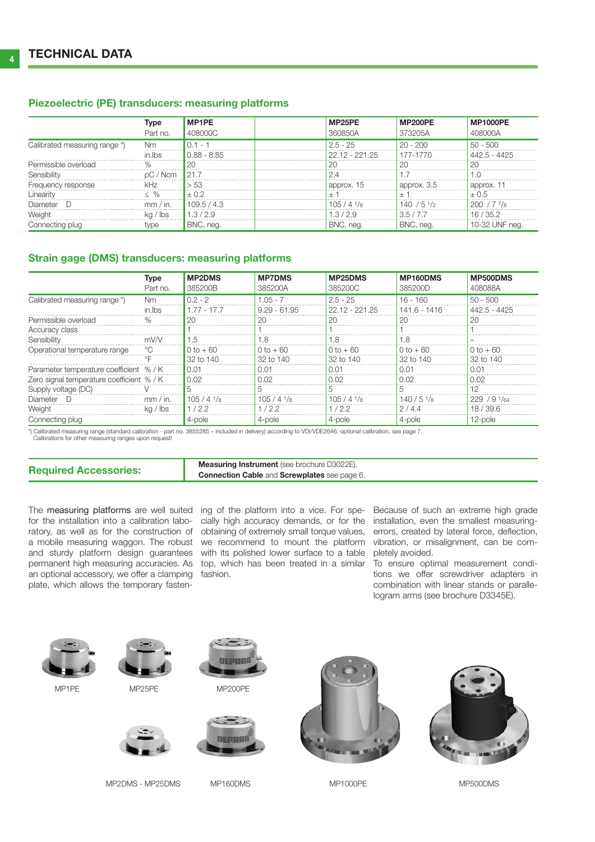#### Piezoelectric (PE) transducers: measuring platforms

|                                   | <b>Type</b><br>Part no. | <b>MP1PE</b><br>408000C | MP25PE<br>360850A            | <b>MP200PE</b><br>373205A | <b>MP1000PE</b><br>408000A |
|-----------------------------------|-------------------------|-------------------------|------------------------------|---------------------------|----------------------------|
| Calibrated measuring range *)     | <b>Nm</b>               | $0.1 - 7$               | $2.5 - 25$<br>22.12 - 221.25 | $20 - 200$                | $50 - 500$<br>442.5 - 4425 |
| Permissible overload              | in.lbs<br>$\%$          | $0.88 - 8.85$<br>20     | -20                          | 177-1770<br>20            | 20                         |
| Sensibility<br>Frequency response | pC / Ncm<br>kHz         | 121.7<br>> 53           | 2.4<br>approx. 15            | approx. 3.5               | 1.0<br>approx. 11          |
| Linearity                         | $\leq$ %                | $+0.2$                  | $+$ $\overline{ }$           | $+$                       | ± 0.5                      |
| Diameter D<br>Weight              | mm / in.<br>kg / lbs    | 109.5 / 4.3<br>1.3/2.9  | $105/41$ /s<br>1.3/2.9       | 140/51/2<br>3.5/7.7       | $200 / 77$ /8<br>16/35.2   |
| Connecting plug                   | type                    | BNC, neg.               | BNC, neq.                    | BNC, neg.                 | 10-32 UNF neg.             |

### Strain gage (DMS) transducers: measuring platforms

|                                           | <b>Type</b>        | <b>MP2DMS</b> | <b>MP7DMS</b>  | MP25DMS                | MP160DMS     | MP500DMS       |
|-------------------------------------------|--------------------|---------------|----------------|------------------------|--------------|----------------|
|                                           | Part no.           | 385200B       | 385200A        | 385200C                | 385200D      | 408088A        |
| Calibrated measuring range *)             | Nm                 | $0.2 - 2$     | $1.05 - 7$     | $2.5 - 25$             | $16 - 160$   | $50 - 500$     |
|                                           | in.lbs             | $1.77 - 17.7$ | $9.29 - 61.95$ | 22.12 - 221.25         | 141.6 - 1416 | 442.5 - 4425   |
| Permissible overload                      | $\%$               | 20            | 20             | 20                     | 20           | 20             |
| Accuracy class                            |                    |               |                |                        |              |                |
| Sensibility                               | mV/V               | 1.5           | 1.8            | 1.8                    | 1.8          |                |
| Operational temperature range             | ℃                  | $0 to + 60$   | $0 to + 60$    | $0 to + 60$            | $0 to + 60$  | $0 to + 60$    |
|                                           | $\circ \mathsf{F}$ | 32 to 140     | 32 to 140      | 32 to 140              | 32 to 140    | 32 to 140      |
| Parameter temperature coefficient % / K   |                    | 0.01          | 0.01           | 0.01                   | 0.01         | 0.01           |
| Zero signal temperature coefficient % / K |                    | 0.02          | 0.02           | 0.02                   | 0.02         | 0.02           |
| Supply voltage (DC)                       |                    | 5             |                | 5                      |              | 12             |
| Diameter D                                | mm / in.           | $105/4$ $1/s$ | $105/41$ /8    | $105/4$ $1\frac{1}{8}$ | 140/51/s     | 229 / 9 $1/64$ |
| Weight                                    | $kq$ / $lbs$       | 1/2.2         | 1/2.2          | 1/2.2                  | 2/4.4        | 18/39.6        |
| Connecting plug                           |                    | 4-pole        | 4-pole         | 4-pole                 | 4-pole       | 12-pole        |

\*) Calibrated measuring range (standard calibration - part no. 3855285 – included in delivery) according to VDI/VDE2646, optional calibration, see page 7. Calibrations for other measuring ranges upon request!

| <b>Required Accessories:</b> | <b>Measuring Instrument</b> (see brochure D3022E).  |
|------------------------------|-----------------------------------------------------|
|                              | <b>Connection Cable and Screwplates see page 6.</b> |

The measuring platforms are well suited ing of the platform into a vice. For spe- Because of such an extreme high grade for the installation into a calibration labo- cially high accuracy demands, or for the installation, even the smallest measuringratory, as well as for the construction of obtaining of extremely small torque values, errors, created by lateral force, deflection, a mobile measuring waggon. The robust we recommend to mount the platform vibration, or misalignment, can be comand sturdy platform design guarantees with its polished lower surface to a table pletely avoided. permanent high measuring accuracies. As top, which has been treated in a similar To ensure optimal measurement condian optional accessory, we offer a clamping fashion. plate, which allows the temporary fasten-

tions we offer screwdriver adapters in combination with linear stands or parallelogram arms (see brochure D3345E).

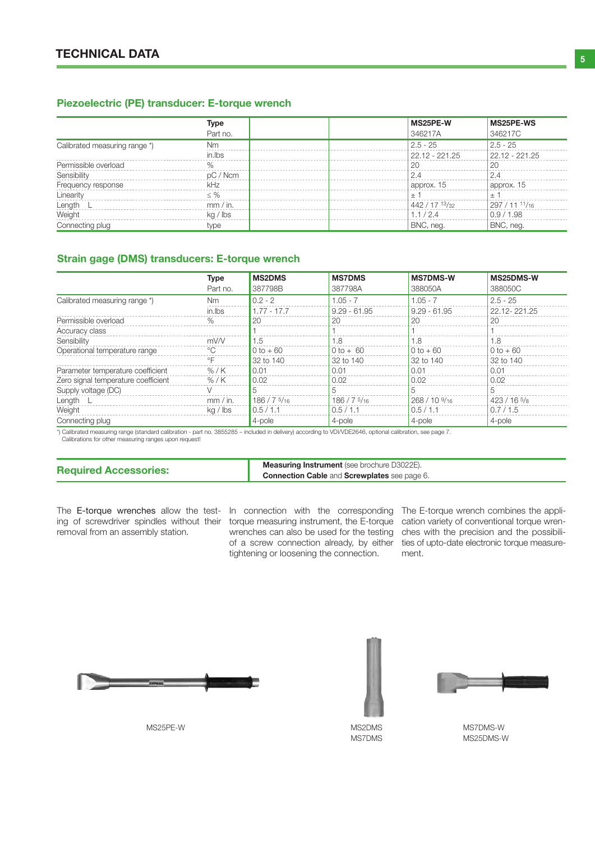#### Piezoelectric (PE) transducer: E-torque wrench

|                               | Type          | MS25PE-W         | MS25PE-WS      |
|-------------------------------|---------------|------------------|----------------|
|                               | Part no.      | 346217A          | 346217C        |
| Calibrated measuring range *) | Nm            | $2.5 - 25$       | $2.5 - 25$     |
|                               | in lbs        | $22.12 - 221.25$ | 22.12 - 221.25 |
| Permissible overload          | $\frac{0}{c}$ | 20               | 20             |
| Sensibility                   | pC / Ncm      | 2.4              | 2.4            |
| Frequency response            | kHz           | approx. 15       | approx. 15     |
| Linearity                     | $\leq$ %      | $\pm$            | $+$            |
| Length                        | mm / in.      | 442 / 17 13 / 32 | 297 / 11 11/16 |
| Weight                        | $kq$ / $lbs$  | 1.1/2.4          | 0.9/1.98       |
| Connecting plug               | type          | BNC, neg.        | BNC, neg.      |

#### Strain gage (DMS) transducers: E-torque wrench

|                                     | Type               | <b>MS2DMS</b> | <b>MS7DMS</b>  | <b>MS7DMS-W</b>           | MS25DMS-W    |
|-------------------------------------|--------------------|---------------|----------------|---------------------------|--------------|
|                                     | Part no.           | 387798B       | 387798A        | 388050A                   | 388050C      |
| Calibrated measuring range *)       | <b>Nm</b>          | $0.2 - 2$     | $1.05 - 7$     | $1.05 - 7$                | $2.5 - 25$   |
|                                     | in.lbs             | $1.77 - 17.7$ | $9.29 - 61.95$ | $9.29 - 61.95$            | 22.12-221.25 |
| Permissible overload                | $\%$               | 20            | 20             | 20                        | 20           |
| Accuracy class                      |                    |               |                |                           |              |
| Sensibility                         | mV/V               | 1.5           | 1.8            | 1.8                       | 1.8          |
| Operational temperature range       | $^{\circ}$         | $0 to + 60$   | $0 to + 60$    | $0 to + 60$               | $0 to + 60$  |
|                                     | $\circ \mathsf{F}$ | 32 to 140     | 32 to 140      | 32 to 140                 | 32 to 140    |
| Parameter temperature coefficient   | % / K              | 0.01          | 0.01           | 0.01                      | 0.01         |
| Zero signal temperature coefficient | $%$ /K             | 0.02          | 0.02           | 0.02                      | 0.02         |
| Supply voltage (DC)                 |                    |               |                |                           |              |
| Length                              | mm / in.           | 186/75/16     | 186 / 7516     | $268/109$ / <sub>16</sub> | $423/165$ /8 |
| Weight                              | $kq$ / $lbs$       | 0.5/1.1       | 0.5/1.1        | 0.5/1.1                   | 0.7/1.5      |
| Connecting plug                     |                    | 4-pole        | 4-pole         | 4-pole                    | 4-pole       |

\*) Calibrated measuring range (standard calibration - part no. 3855285 – included in delivery) according to VDI/VDE2646, optional calibration, see page 7.

Calibrations for other measuring ranges upon request!

**Required Accessories:** Measuring Instrument (see brochure D3022E). Connection Cable and Screwplates see page 6.

The E-torque wrenches allow the test- In connection with the corresponding The E-torque wrench combines the appliing of screwdriver spindles without their torque measuring instrument, the E-torque cation variety of conventional torque wrenremoval from an assembly station.

tightening or loosening the connection.

wrenches can also be used for the testing ches with the precision and the possibiliof a screw connection already, by either ties of upto-date electronic torque measurement.



MS25PE-W MS2DMS





MS7DMS

MS7DMS-W MS25DMS-W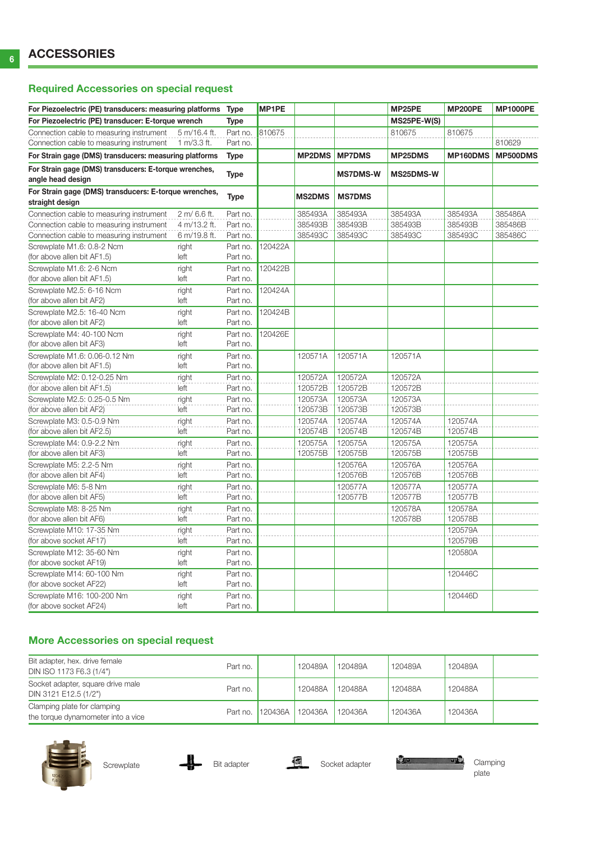## Required Accessories on special request

| For Piezoelectric (PE) transducers: measuring platforms<br>For Piezoelectric (PE) transducer: E-torque wrench |               | <b>Type</b>          | <b>MP1PE</b> |                    |                    | MP25PE             | <b>MP200PE</b> | <b>MP1000PE</b> |
|---------------------------------------------------------------------------------------------------------------|---------------|----------------------|--------------|--------------------|--------------------|--------------------|----------------|-----------------|
|                                                                                                               |               | Type                 |              |                    |                    | MS25PE-W(S)        |                |                 |
| Connection cable to measuring instrument                                                                      | 5 m/16.4 ft.  | Part no.             | 810675       |                    |                    | 810675             | 810675         |                 |
| Connection cable to measuring instrument                                                                      | 1 m/3.3 ft.   | Part no.             |              |                    |                    |                    |                | 810629          |
| For Strain gage (DMS) transducers: measuring platforms                                                        |               | <b>Type</b>          |              | <b>MP2DMS</b>      | <b>MP7DMS</b>      | MP25DMS            | MP160DMS       | MP500DMS        |
| For Strain gage (DMS) transducers: E-torque wrenches,                                                         |               | <b>Type</b>          |              |                    | <b>MS7DMS-W</b>    | MS25DMS-W          |                |                 |
| angle head design                                                                                             |               |                      |              |                    |                    |                    |                |                 |
| For Strain gage (DMS) transducers: E-torque wrenches,                                                         |               | <b>Type</b>          |              | <b>MS2DMS</b>      | <b>MS7DMS</b>      |                    |                |                 |
| straight design                                                                                               |               |                      |              |                    |                    |                    |                |                 |
| Connection cable to measuring instrument                                                                      | 2 m/6.6 ft.   | Part no.             |              | 385493A            | 385493A            | 385493A            | 385493A        | 385486A         |
| Connection cable to measuring instrument                                                                      | 4 m/13.2 ft.  | Part no.             |              | 385493B            | 385493B            | 385493B            | 385493B        | 385486B         |
| Connection cable to measuring instrument                                                                      | 6 m/19.8 ft.  | Part no.             |              | 385493C            | 385493C            | 385493C            | 385493C        | 385486C         |
| Screwplate M1.6: 0.8-2 Ncm                                                                                    | right         | Part no.             | 120422A      |                    |                    |                    |                |                 |
| (for above allen bit AF1.5)                                                                                   | left          | Part no.             |              |                    |                    |                    |                |                 |
| Screwplate M1.6: 2-6 Ncm                                                                                      | right         | Part no.             | 120422B      |                    |                    |                    |                |                 |
| (for above allen bit AF1.5)                                                                                   | left          | Part no.             |              |                    |                    |                    |                |                 |
| Screwplate M2.5: 6-16 Ncm                                                                                     | right         | Part no.             | 120424A      |                    |                    |                    |                |                 |
| (for above allen bit AF2)                                                                                     | left          | Part no.             |              |                    |                    |                    |                |                 |
| Screwplate M2.5: 16-40 Ncm                                                                                    | right         | Part no.             | 120424B      |                    |                    |                    |                |                 |
| (for above allen bit AF2)                                                                                     | left          | Part no.             |              |                    |                    |                    |                |                 |
| Screwplate M4: 40-100 Ncm                                                                                     | right         | Part no.             | 120426E      |                    |                    |                    |                |                 |
| (for above allen bit AF3)                                                                                     | left          | Part no.             |              |                    |                    |                    |                |                 |
| Screwplate M1.6: 0.06-0.12 Nm                                                                                 | right         | Part no.             |              | 120571A            | 120571A            | 120571A            |                |                 |
| (for above allen bit AF1.5)                                                                                   | left          | Part no.             |              |                    |                    |                    |                |                 |
| Screwplate M2: 0.12-0.25 Nm<br>(for above allen bit AF1.5)                                                    | right         | Part no.             |              | 120572A<br>120572B | 120572A<br>120572B | 120572A<br>120572B |                |                 |
|                                                                                                               | left          | Part no.             |              |                    |                    |                    |                |                 |
| Screwplate M2.5: 0.25-0.5 Nm<br>(for above allen bit AF2)                                                     | right<br>left | Part no.<br>Part no. |              | 120573A<br>120573B | 120573A<br>120573B | 120573A<br>120573B |                |                 |
| Screwplate M3: 0.5-0.9 Nm                                                                                     | right         | Part no.             |              | 120574A            | 120574A            | 120574A            | 120574A        |                 |
| (for above allen bit AF2.5)                                                                                   | left          | Part no.             |              | 120574B            | 120574B            | 120574B            | 120574B        |                 |
| Screwplate M4: 0.9-2.2 Nm                                                                                     | right         | Part no.             |              | 120575A            | 120575A            | 120575A            | 120575A        |                 |
| (for above allen bit AF3)                                                                                     | left          | Part no.             |              | 120575B            | 120575B            | 120575B            | 120575B        |                 |
| Screwplate M5: 2.2-5 Nm                                                                                       | right         | Part no.             |              |                    | 120576A            | 120576A            | 120576A        |                 |
| (for above allen bit AF4)                                                                                     | left          | Part no.             |              |                    | 120576B            | 120576B            | 120576B        |                 |
| Screwplate M6: 5-8 Nm                                                                                         | right         | Part no.             |              |                    | 120577A            | 120577A            | 120577A        |                 |
| (for above allen bit AF5)                                                                                     | left          | Part no.             |              |                    | 120577B            | 120577B            | 120577B        |                 |
| Screwplate M8: 8-25 Nm                                                                                        | right         | Part no.             |              |                    |                    | 120578A            | 120578A        |                 |
| (for above allen bit AF6)                                                                                     | left          | Part no.             |              |                    |                    | 120578B            | 120578B        |                 |
| Screwplate M10: 17-35 Nm                                                                                      | right         | Part no.             |              |                    |                    |                    | 120579A        |                 |
| (for above socket AF17)                                                                                       | left          | Part no.             |              |                    |                    |                    | 120579B        |                 |
| Screwplate M12: 35-60 Nm                                                                                      | right         | Part no.             |              |                    |                    |                    | 120580A        |                 |
| (for above socket AF19)                                                                                       | left          | Part no.             |              |                    |                    |                    |                |                 |
| Screwplate M14: 60-100 Nm                                                                                     | right         | Part no.             |              |                    |                    |                    | 120446C        |                 |
| (for above socket AF22)                                                                                       | left          | Part no.             |              |                    |                    |                    |                |                 |
| Screwplate M16: 100-200 Nm                                                                                    | right         | Part no.             |              |                    |                    |                    | 120446D        |                 |
| (for above socket AF24)                                                                                       | left          | Part no.             |              |                    |                    |                    |                |                 |

## More Accessories on special request

| Bit adapter, hex. drive female<br>DIN ISO 1173 F6.3 (1/4")        | Part no. |                  | 120489A | 120489A | 120489A | 120489A |  |
|-------------------------------------------------------------------|----------|------------------|---------|---------|---------|---------|--|
| Socket adapter, square drive male<br>DIN 3121 E12.5 (1/2")        | Part no. |                  | 120488A | 120488A | 120488A | 120488A |  |
| Clamping plate for clamping<br>the torque dynamometer into a vice |          | Part no. 120436A | 120436A | 120436A | 120436A | 120436A |  |





plate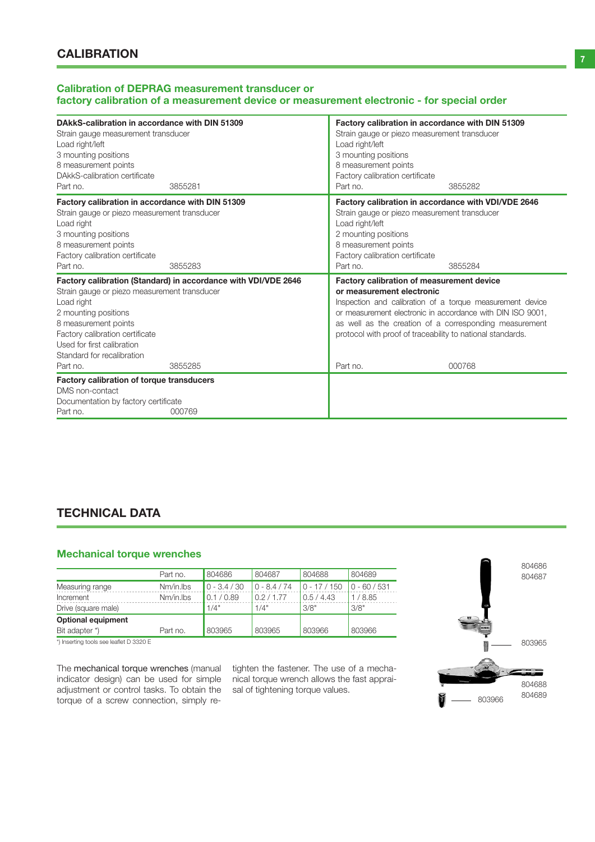#### Calibration of DEPRAG measurement transducer or factory calibration of a measurement device or measurement electronic - for special order

| DAkkS-calibration in accordance with DIN 51309<br>Strain gauge measurement transducer<br>Load right/left<br>3 mounting positions<br>8 measurement points<br>DAkkS-calibration certificate<br>Part no.                 | 3855281                                                                   | Factory calibration in accordance with DIN 51309<br>Strain gauge or piezo measurement transducer<br>Load right/left<br>3 mounting positions<br>8 measurement points<br>Factory calibration certificate<br>Part no.    | 3855282                                                                                                                       |
|-----------------------------------------------------------------------------------------------------------------------------------------------------------------------------------------------------------------------|---------------------------------------------------------------------------|-----------------------------------------------------------------------------------------------------------------------------------------------------------------------------------------------------------------------|-------------------------------------------------------------------------------------------------------------------------------|
| Factory calibration in accordance with DIN 51309<br>Strain gauge or piezo measurement transducer<br>Load right<br>3 mounting positions<br>8 measurement points<br>Factory calibration certificate<br>Part no.         | 3855283                                                                   | Factory calibration in accordance with VDI/VDE 2646<br>Strain gauge or piezo measurement transducer<br>Load right/left<br>2 mounting positions<br>8 measurement points<br>Factory calibration certificate<br>Part no. | 3855284                                                                                                                       |
| Strain gauge or piezo measurement transducer<br>Load right<br>2 mounting positions<br>8 measurement points<br>Factory calibration certificate<br>Used for first calibration<br>Standard for recalibration<br>Part no. | Factory calibration (Standard) in accordance with VDI/VDE 2646<br>3855285 | <b>Factory calibration of measurement device</b><br>or measurement electronic<br>or measurement electronic in accordance with DIN ISO 9001.<br>protocol with proof of traceability to national standards.<br>Part no. | Inspection and calibration of a torque measurement device<br>as well as the creation of a corresponding measurement<br>000768 |
| <b>Factory calibration of torque transducers</b><br>DMS non-contact<br>Documentation by factory certificate<br>Part no.                                                                                               | 000769                                                                    |                                                                                                                                                                                                                       |                                                                                                                               |

# TECHNICAL DATA

## Mechanical torque wrenches

|                                                                         | Part no.  | 804686         | 804687         | 804688       | 804689         |
|-------------------------------------------------------------------------|-----------|----------------|----------------|--------------|----------------|
| Measuring range                                                         | Nm/in.lbs | $0 - 3.4 / 30$ | $0 - 8.4 / 74$ | $0 - 17/150$ | $0 - 60 / 531$ |
| Increment                                                               | Nm/in.lbs | 0.1 / 0.89     | 0.2/1.77       | 0.5/4.43     | 1/8.85         |
| Drive (square male)                                                     |           | 1/4"           | 1/4"           | 3/8"         | 3/8"           |
| <b>Optional equipment</b>                                               |           |                |                |              |                |
| Bit adapter *)                                                          | Part no.  | 803965         | 803965         | 803966       | 803966         |
| $\cdots$ $\cdots$ $\cdots$ $\cdots$ $\cdots$ $\cdots$ $\cdots$ $\cdots$ |           |                |                |              |                |

\*) Inserting tools see leaflet D 3320 E

The mechanical torque wrenches (manual indicator design) can be used for simple adjustment or control tasks. To obtain the torque of a screw connection, simply retighten the fastener. The use of a mechanical torque wrench allows the fast appraisal of tightening torque values.